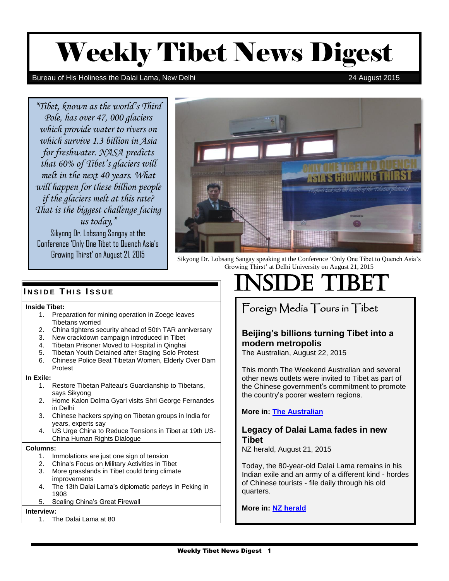# Weekly Tibet News Digest

#### Bureau of His Holiness the Dalai Lama, New Delhi 24 August 2015

*"Tibet, known as the world's Third Pole, has over 47, 000 glaciers which provide water to rivers on which survive 1.3 billion in Asia for freshwater. NASA predicts that 60% of Tibet's glaciers will melt in the next 40 years. What will happen for these billion people if the glaciers melt at this rate? That is the biggest challenge facing us today,"* Sikyong Dr. Lobsang Sangay at the

Conference 'Only One Tibet to Quench Asia's



Growing Thirst' on August 21, 2015 Sikyong Dr. Lobsang Sangay speaking at the Conference 'Only One Tibet to Quench Asia's Growing Thirst' at Delhi University on August 21, 2015

#### **Inside Tibet:**

- 1. Preparation for mining operation in Zoege leaves Tibetans worried
- 2. China tightens security ahead of 50th TAR anniversary
- 3. New crackdown campaign introduced in Tibet
- 4. Tibetan Prisoner Moved to Hospital in Qinghai
- 5. Tibetan Youth Detained after Staging Solo Protest
- 6. Chinese Police Beat Tibetan Women, Elderly Over Dam

#### Protest

#### **In Exile:**

- 1. Restore Tibetan Palteau's Guardianship to Tibetans, says Sikyong
- 2. Home Kalon Dolma Gyari visits Shri George Fernandes in Delhi
- 3. Chinese hackers spying on Tibetan groups in India for years, experts say
- 4. US Urge China to Reduce Tensions in Tibet at 19th US-China Human Rights Dialogue

#### **Columns:**

- 1. Immolations are just one sign of tension
- 2. China's Focus on Military Activities in Tibet
- 3. More grasslands in Tibet could bring climate improvements
- 4. The 13th Dalai Lama's diplomatic parleys in Peking in 1908
- 5. Scaling China's Great Firewall

#### **Interview:**

1. The Dalai Lama at 80

# INSIDE THIS ISSUE **INSIDE TIBET**

# Foreign Media Tours in Tibet

# **Beijing's billions turning Tibet into a modern metropolis**

The Australian, August 22, 2015

This month The Weekend Australian and several other news outlets were invited to Tibet as part of the Chinese government's commitment to promote the country's poorer western regions.

**More in: [The Australian](http://www.theaustralian.com.au/news/world/beijings-billions-turning-tibet-into-a-modern-metropolis/story-e6frg6so-1227493518909)**

# **Legacy of Dalai Lama fades in new Tibet**

NZ herald, August 21, 2015

Today, the 80-year-old Dalai Lama remains in his Indian exile and an army of a different kind - hordes of Chinese tourists - file daily through his old quarters.

### **More in: [NZ herald](http://www.nzherald.co.nz/world/news/article.cfm?c_id=2&objectid=11501014)**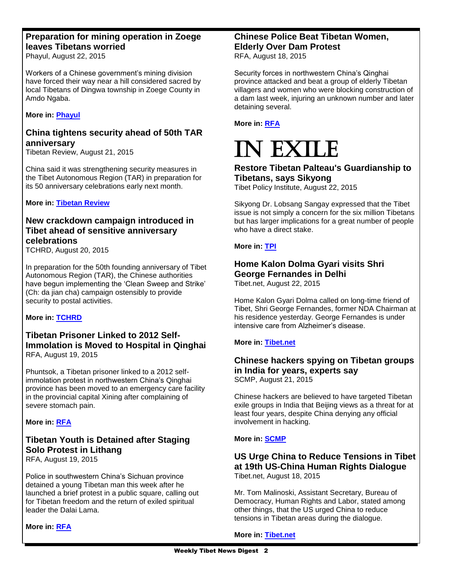# **Preparation for mining operation in Zoege leaves Tibetans worried**

Phayul, August 22, 2015

Workers of a Chinese government's mining division have forced their way near a hill considered sacred by local Tibetans of Dingwa township in Zoege County in Amdo Ngaba.

**More in: [Phayul](http://www.phayul.com/news/article.aspx?id=36399&article=Preparation+for+mining+operation+in+Zoege+leaves+Tibetans+worried)**

# **China tightens security ahead of 50th TAR anniversary**

Tibetan Review, August 21, 2015

China said it was strengthening security measures in the Tibet Autonomous Region (TAR) in preparation for its 50 anniversary celebrations early next month.

**More in: [Tibetan Review](http://www.tibetanreview.net/china-tightens-security-ahead-of-50th-tar-anniversary/)**

# **New crackdown campaign introduced in Tibet ahead of sensitive anniversary celebrations**

TCHRD, August 20, 2015

In preparation for the 50th founding anniversary of Tibet Autonomous Region (TAR), the Chinese authorities have begun implementing the 'Clean Sweep and Strike' (Ch: da jian cha) campaign ostensibly to provide security to postal activities.

**More in: [TCHRD](http://www.twitlonger.com/show/n_1sn9o7a)**

# **Tibetan Prisoner Linked to 2012 Self-Immolation is Moved to Hospital in Qinghai** RFA, August 19, 2015

Phuntsok, a Tibetan prisoner linked to a 2012 selfimmolation protest in northwestern China's Qinghai province has been moved to an emergency care facility in the provincial capital Xining after complaining of severe stomach pain.

# **More in: [RFA](http://www.rfa.org/english/news/tibet/moved-08192015162814.html)**

# **Tibetan Youth is Detained after Staging Solo Protest in Lithang**

RFA, August 19, 2015

Police in southwestern China's Sichuan province detained a young Tibetan man this week after he launched a brief protest in a public square, calling out for Tibetan freedom and the return of exiled spiritual leader the Dalai Lama.

**More in: [RFA](http://www.rfa.org/english/news/tibet/solo-08192015133401.html)**

# **Chinese Police Beat Tibetan Women, Elderly Over Dam Protest**

RFA, August 18, 2015

Security forces in northwestern China's Qinghai province attacked and beat a group of elderly Tibetan villagers and women who were blocking construction of a dam last week, injuring an unknown number and later detaining several.

**More in: [RFA](http://www.rfa.org/english/news/tibet/protest-08182015165252.html)**

# I EXILE

# **Restore Tibetan Palteau's Guardianship to Tibetans, says Sikyong**

Tibet Policy Institute, August 22, 2015

Sikyong Dr. Lobsang Sangay expressed that the Tibet issue is not simply a concern for the six million Tibetans but has larger implications for a great number of people who have a direct stake.

# **More in: [TPI](http://tibetpolicy.net/comments-briefs/restore-tibetan-plateaus-guardianship-to-tibetans-says-sikyong/)**

# **Home Kalon Dolma Gyari visits Shri George Fernandes in Delhi**

Tibet.net, August 22, 2015

Home Kalon Gyari Dolma called on long-time friend of Tibet, Shri George Fernandes, former NDA Chairman at his residence yesterday. George Fernandes is under intensive care from Alzheimer's disease.

# **More in: [Tibet.net](http://tibet.net/2015/08/home-kalon-dolma-gyari-visits-shri-george-fernandes-in-delhi/)**

# **Chinese hackers spying on Tibetan groups in India for years, experts say**

SCMP, August 21, 2015

Chinese hackers are believed to have targeted Tibetan exile groups in India that Beijing views as a threat for at least four years, despite China denying any official involvement in hacking.

### **More in: [SCMP](http://www.scmp.com/tech/social-gadgets/article/1851099/chinese-hackers-spying-tibetan-groups-india-years-experts-say)**

# **US Urge China to Reduce Tensions in Tibet at 19th US-China Human Rights Dialogue** Tibet.net, August 18, 2015

Mr. Tom Malinoski, Assistant Secretary, Bureau of Democracy, Human Rights and Labor, stated among other things, that the US urged China to reduce tensions in Tibetan areas during the dialogue.

**More in: [Tibet.net](http://tibet.net/2015/08/us-urge-china-to-reduce-tensions-in-tibet-at-19th-us-china-human-rights-dialogue/)**